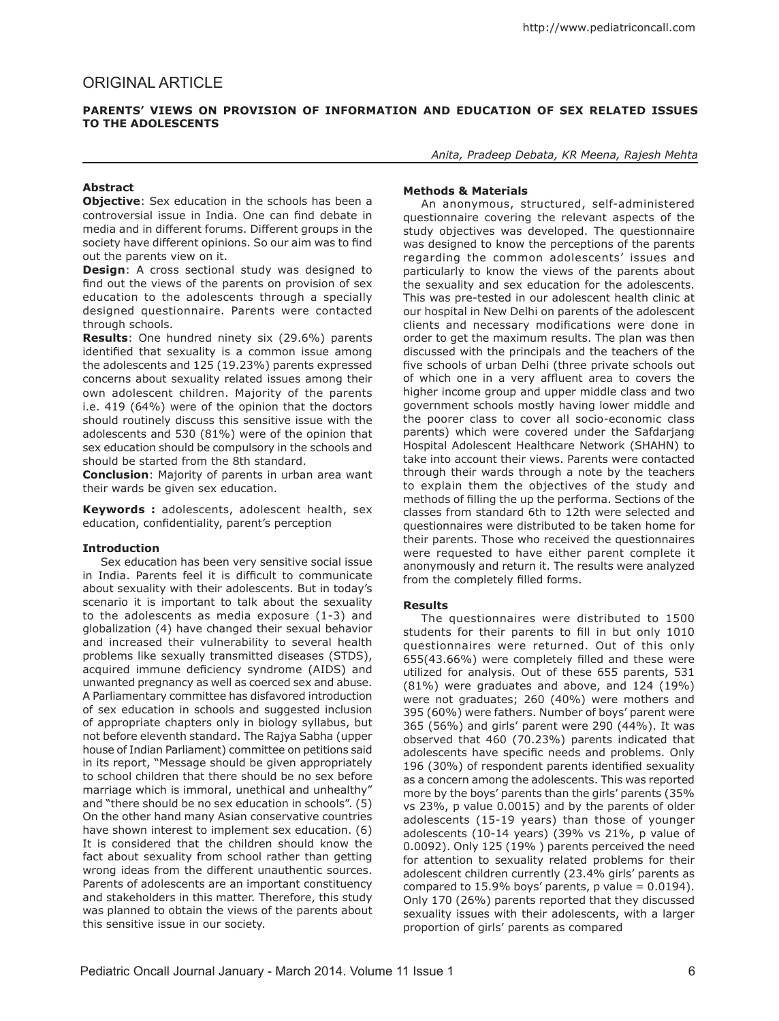### **Parents' Views on Provision of Information and Education of Sex Related Issues to the Adolescents**

# **Abstract**

**Objective:** Sex education in the schools has been a controversial issue in India. One can find debate in media and in different forums. Different groups in the society have different opinions. So our aim was to find out the parents view on it.

**Design**: A cross sectional study was designed to find out the views of the parents on provision of sex education to the adolescents through a specially designed questionnaire. Parents were contacted through schools.

**Results**: One hundred ninety six (29.6%) parents identified that sexuality is a common issue among the adolescents and 125 (19.23%) parents expressed concerns about sexuality related issues among their own adolescent children. Majority of the parents i.e. 419 (64%) were of the opinion that the doctors should routinely discuss this sensitive issue with the adolescents and 530 (81%) were of the opinion that sex education should be compulsory in the schools and should be started from the 8th standard.

**Conclusion**: Majority of parents in urban area want their wards be given sex education.

**Keywords :** adolescents, adolescent health, sex education, confidentiality, parent's perception

### **Introduction**

Sex education has been very sensitive social issue in India. Parents feel it is difficult to communicate about sexuality with their adolescents. But in today's scenario it is important to talk about the sexuality to the adolescents as media exposure (1-3) and globalization (4) have changed their sexual behavior and increased their vulnerability to several health problems like sexually transmitted diseases (STDS), acquired immune deficiency syndrome (AIDS) and unwanted pregnancy as well as coerced sex and abuse. A Parliamentary committee has disfavored introduction of sex education in schools and suggested inclusion of appropriate chapters only in biology syllabus, but not before eleventh standard. The Rajya Sabha (upper house of Indian Parliament) committee on petitions said in its report, "Message should be given appropriately to school children that there should be no sex before marriage which is immoral, unethical and unhealthy" and "there should be no sex education in schools". (5) On the other hand many Asian conservative countries have shown interest to implement sex education. (6) It is considered that the children should know the fact about sexuality from school rather than getting wrong ideas from the different unauthentic sources. Parents of adolescents are an important constituency and stakeholders in this matter. Therefore, this study was planned to obtain the views of the parents about this sensitive issue in our society.

*Anita, Pradeep Debata, KR Meena, Rajesh Mehta*

# **Methods & Materials**

An anonymous, structured, self-administered questionnaire covering the relevant aspects of the study objectives was developed. The questionnaire was designed to know the perceptions of the parents regarding the common adolescents' issues and particularly to know the views of the parents about the sexuality and sex education for the adolescents. This was pre-tested in our adolescent health clinic at our hospital in New Delhi on parents of the adolescent clients and necessary modifications were done in order to get the maximum results. The plan was then discussed with the principals and the teachers of the five schools of urban Delhi (three private schools out of which one in a very affluent area to covers the higher income group and upper middle class and two government schools mostly having lower middle and the poorer class to cover all socio-economic class parents) which were covered under the Safdarjang Hospital Adolescent Healthcare Network (SHAHN) to take into account their views. Parents were contacted through their wards through a note by the teachers to explain them the objectives of the study and methods of filling the up the performa. Sections of the classes from standard 6th to 12th were selected and questionnaires were distributed to be taken home for their parents. Those who received the questionnaires were requested to have either parent complete it anonymously and return it. The results were analyzed from the completely filled forms.

### **Results**

The questionnaires were distributed to 1500 students for their parents to fill in but only 1010 questionnaires were returned. Out of this only 655(43.66%) were completely filled and these were utilized for analysis. Out of these 655 parents, 531 (81%) were graduates and above, and 124 (19%) were not graduates; 260 (40%) were mothers and 395 (60%) were fathers. Number of boys' parent were 365 (56%) and girls' parent were 290 (44%). It was observed that 460 (70.23%) parents indicated that adolescents have specific needs and problems. Only 196 (30%) of respondent parents identified sexuality as a concern among the adolescents. This was reported more by the boys' parents than the girls' parents (35% vs 23%, p value 0.0015) and by the parents of older adolescents (15-19 years) than those of younger adolescents (10-14 years) (39% vs 21%, p value of 0.0092). Only 125 (19% ) parents perceived the need for attention to sexuality related problems for their adolescent children currently (23.4% girls' parents as compared to  $15.9\%$  boys' parents, p value =  $0.0194$ ). Only 170 (26%) parents reported that they discussed sexuality issues with their adolescents, with a larger proportion of girls' parents as compared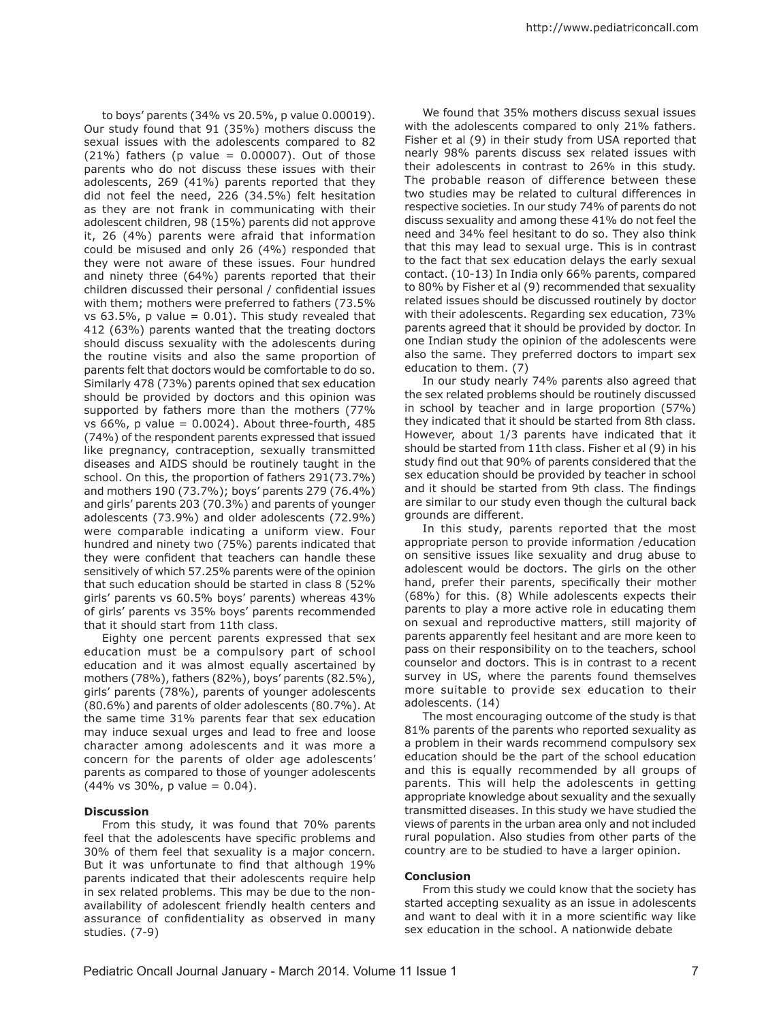http://www.pediatriconcall.com

to boys' parents (34% vs 20.5%, p value 0.00019). Our study found that 91 (35%) mothers discuss the sexual issues with the adolescents compared to 82  $(21%)$  fathers (p value = 0.00007). Out of those parents who do not discuss these issues with their adolescents, 269 (41%) parents reported that they did not feel the need, 226 (34.5%) felt hesitation as they are not frank in communicating with their adolescent children, 98 (15%) parents did not approve it, 26 (4%) parents were afraid that information could be misused and only 26 (4%) responded that they were not aware of these issues. Four hundred and ninety three (64%) parents reported that their children discussed their personal / confidential issues with them; mothers were preferred to fathers (73.5% vs  $63.5\%$ , p value = 0.01). This study revealed that 412 (63%) parents wanted that the treating doctors should discuss sexuality with the adolescents during the routine visits and also the same proportion of parents felt that doctors would be comfortable to do so. Similarly 478 (73%) parents opined that sex education should be provided by doctors and this opinion was supported by fathers more than the mothers (77% vs 66%, p value =  $0.0024$ ). About three-fourth, 485 (74%) of the respondent parents expressed that issued like pregnancy, contraception, sexually transmitted diseases and AIDS should be routinely taught in the school. On this, the proportion of fathers 291(73.7%) and mothers 190 (73.7%); boys' parents 279 (76.4%) and girls' parents 203 (70.3%) and parents of younger adolescents (73.9%) and older adolescents (72.9%) were comparable indicating a uniform view. Four hundred and ninety two (75%) parents indicated that they were confident that teachers can handle these sensitively of which 57.25% parents were of the opinion that such education should be started in class 8 (52% girls' parents vs 60.5% boys' parents) whereas 43% of girls' parents vs 35% boys' parents recommended that it should start from 11th class.

Eighty one percent parents expressed that sex education must be a compulsory part of school education and it was almost equally ascertained by mothers (78%), fathers (82%), boys' parents (82.5%), girls' parents (78%), parents of younger adolescents (80.6%) and parents of older adolescents (80.7%). At the same time 31% parents fear that sex education may induce sexual urges and lead to free and loose character among adolescents and it was more a concern for the parents of older age adolescents' parents as compared to those of younger adolescents  $(44\% \text{ vs } 30\%, \text{ p value } = 0.04).$ 

### **Discussion**

From this study, it was found that 70% parents feel that the adolescents have specific problems and 30% of them feel that sexuality is a major concern. But it was unfortunate to find that although 19% parents indicated that their adolescents require help in sex related problems. This may be due to the nonavailability of adolescent friendly health centers and assurance of confidentiality as observed in many studies. (7-9)

We found that 35% mothers discuss sexual issues with the adolescents compared to only 21% fathers. Fisher et al (9) in their study from USA reported that nearly 98% parents discuss sex related issues with their adolescents in contrast to 26% in this study. The probable reason of difference between these two studies may be related to cultural differences in respective societies. In our study 74% of parents do not discuss sexuality and among these 41% do not feel the need and 34% feel hesitant to do so. They also think that this may lead to sexual urge. This is in contrast to the fact that sex education delays the early sexual contact. (10-13) In India only 66% parents, compared to 80% by Fisher et al (9) recommended that sexuality related issues should be discussed routinely by doctor with their adolescents. Regarding sex education, 73% parents agreed that it should be provided by doctor. In one Indian study the opinion of the adolescents were also the same. They preferred doctors to impart sex education to them. (7)

In our study nearly 74% parents also agreed that the sex related problems should be routinely discussed in school by teacher and in large proportion (57%) they indicated that it should be started from 8th class. However, about 1/3 parents have indicated that it should be started from 11th class. Fisher et al (9) in his study find out that 90% of parents considered that the sex education should be provided by teacher in school and it should be started from 9th class. The findings are similar to our study even though the cultural back grounds are different.

In this study, parents reported that the most appropriate person to provide information /education on sensitive issues like sexuality and drug abuse to adolescent would be doctors. The girls on the other hand, prefer their parents, specifically their mother (68%) for this. (8) While adolescents expects their parents to play a more active role in educating them on sexual and reproductive matters, still majority of parents apparently feel hesitant and are more keen to pass on their responsibility on to the teachers, school counselor and doctors. This is in contrast to a recent survey in US, where the parents found themselves more suitable to provide sex education to their adolescents. (14)

The most encouraging outcome of the study is that 81% parents of the parents who reported sexuality as a problem in their wards recommend compulsory sex education should be the part of the school education and this is equally recommended by all groups of parents. This will help the adolescents in getting appropriate knowledge about sexuality and the sexually transmitted diseases. In this study we have studied the views of parents in the urban area only and not included rural population. Also studies from other parts of the country are to be studied to have a larger opinion.

# **Conclusion**

From this study we could know that the society has started accepting sexuality as an issue in adolescents and want to deal with it in a more scientific way like sex education in the school. A nationwide debate